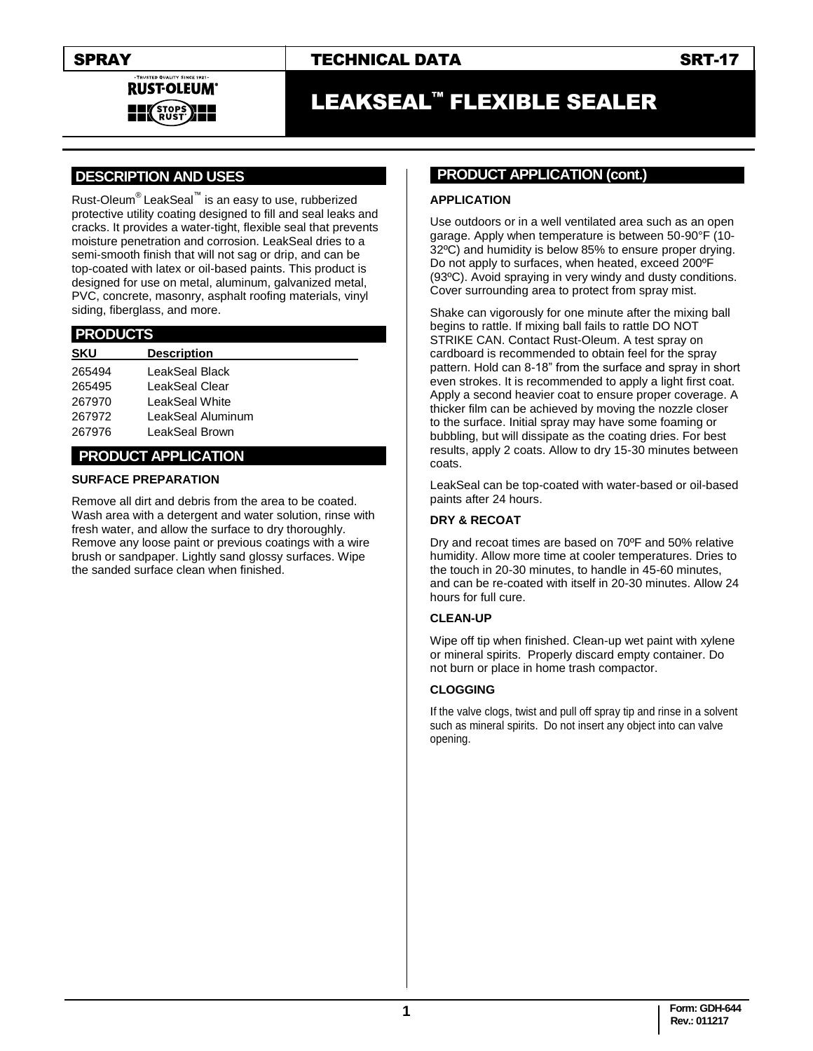TRUSTED QUALITY SINCE 1921 **RUST-OLEUM STOPS**<br>RUST

# SPRAY TECHNICAL DATA SRT-17

# LEAKSEAL™ FLEXIBLE SEALER

# **.DESCRIPTION AND USES .**

Rust-Oleum® LeakSeal™ is an easy to use, rubberized protective utility coating designed to fill and seal leaks and cracks. It provides a water-tight, flexible seal that prevents moisture penetration and corrosion. LeakSeal dries to a semi-smooth finish that will not sag or drip, and can be top-coated with latex or oil-based paints. This product is designed for use on metal, aluminum, galvanized metal, PVC, concrete, masonry, asphalt roofing materials, vinyl siding, fiberglass, and more.

## **.PRODUCTS .**

| <b>Description</b> |
|--------------------|
| LeakSeal Black     |
| LeakSeal Clear     |
| LeakSeal White     |
| LeakSeal Aluminum  |
| LeakSeal Brown     |
|                    |

# **..PRODUCT APPLICATION .**

### **SURFACE PREPARATION**

Remove all dirt and debris from the area to be coated. Wash area with a detergent and water solution, rinse with fresh water, and allow the surface to dry thoroughly. Remove any loose paint or previous coatings with a wire brush or sandpaper. Lightly sand glossy surfaces. Wipe the sanded surface clean when finished.

# **PRODUCT APPLICATION (cont.)**

#### **APPLICATION**

Use outdoors or in a well ventilated area such as an open garage. Apply when temperature is between 50-90°F (10- 32ºC) and humidity is below 85% to ensure proper drying. Do not apply to surfaces, when heated, exceed 200ºF (93ºC). Avoid spraying in very windy and dusty conditions. Cover surrounding area to protect from spray mist.

Shake can vigorously for one minute after the mixing ball begins to rattle. If mixing ball fails to rattle DO NOT STRIKE CAN. Contact Rust-Oleum. A test spray on cardboard is recommended to obtain feel for the spray pattern. Hold can 8-18" from the surface and spray in short even strokes. It is recommended to apply a light first coat. Apply a second heavier coat to ensure proper coverage. A thicker film can be achieved by moving the nozzle closer to the surface. Initial spray may have some foaming or bubbling, but will dissipate as the coating dries. For best results, apply 2 coats. Allow to dry 15-30 minutes between coats.

LeakSeal can be top-coated with water-based or oil-based paints after 24 hours.

### **DRY & RECOAT**

Dry and recoat times are based on 70ºF and 50% relative humidity. Allow more time at cooler temperatures. Dries to the touch in 20-30 minutes, to handle in 45-60 minutes, and can be re-coated with itself in 20-30 minutes. Allow 24 hours for full cure.

### **CLEAN-UP**

Wipe off tip when finished. Clean-up wet paint with xylene or mineral spirits. Properly discard empty container. Do not burn or place in home trash compactor.

### **CLOGGING**

If the valve clogs, twist and pull off spray tip and rinse in a solvent such as mineral spirits. Do not insert any object into can valve opening.